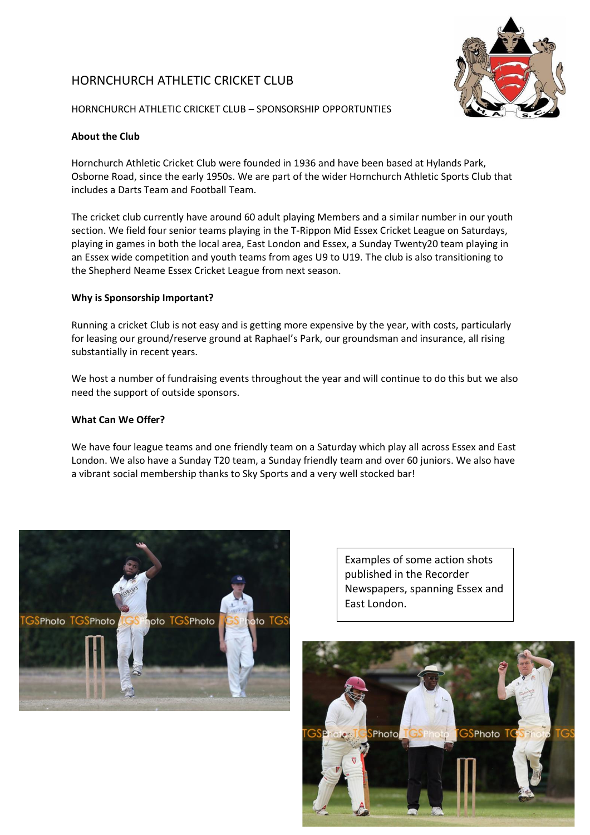# HORNCHURCH ATHLETIC CRICKET CLUB



HORNCHURCH ATHLETIC CRICKET CLUB – SPONSORSHIP OPPORTUNTIES

## **About the Club**

Hornchurch Athletic Cricket Club were founded in 1936 and have been based at Hylands Park, Osborne Road, since the early 1950s. We are part of the wider Hornchurch Athletic Sports Club that includes a Darts Team and Football Team.

The cricket club currently have around 60 adult playing Members and a similar number in our youth section. We field four senior teams playing in the T-Rippon Mid Essex Cricket League on Saturdays, playing in games in both the local area, East London and Essex, a Sunday Twenty20 team playing in an Essex wide competition and youth teams from ages U9 to U19. The club is also transitioning to the Shepherd Neame Essex Cricket League from next season.

## **Why is Sponsorship Important?**

Running a cricket Club is not easy and is getting more expensive by the year, with costs, particularly for leasing our ground/reserve ground at Raphael's Park, our groundsman and insurance, all rising substantially in recent years.

We host a number of fundraising events throughout the year and will continue to do this but we also need the support of outside sponsors.

### **What Can We Offer?**

We have four league teams and one friendly team on a Saturday which play all across Essex and East London. We also have a Sunday T20 team, a Sunday friendly team and over 60 juniors. We also have a vibrant social membership thanks to Sky Sports and a very well stocked bar!



Examples of some action shots published in the Recorder Newspapers, spanning Essex and East London.